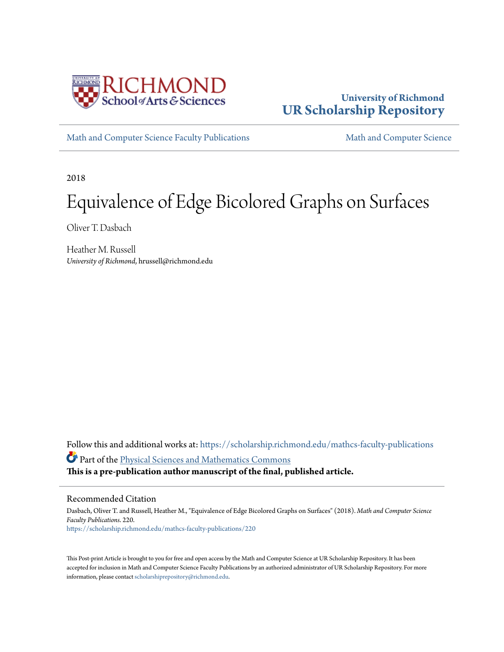

# **University of Richmond [UR Scholarship Repository](https://scholarship.richmond.edu?utm_source=scholarship.richmond.edu%2Fmathcs-faculty-publications%2F220&utm_medium=PDF&utm_campaign=PDFCoverPages)**

[Math and Computer Science Faculty Publications](https://scholarship.richmond.edu/mathcs-faculty-publications?utm_source=scholarship.richmond.edu%2Fmathcs-faculty-publications%2F220&utm_medium=PDF&utm_campaign=PDFCoverPages) [Math and Computer Science](https://scholarship.richmond.edu/mathcs?utm_source=scholarship.richmond.edu%2Fmathcs-faculty-publications%2F220&utm_medium=PDF&utm_campaign=PDFCoverPages)

2018

# Equivalence of Edge Bicolored Graphs on Surfaces

Oliver T. Dasbach

Heather M. Russell *University of Richmond*, hrussell@richmond.edu

Follow this and additional works at: [https://scholarship.richmond.edu/mathcs-faculty-publications](https://scholarship.richmond.edu/mathcs-faculty-publications?utm_source=scholarship.richmond.edu%2Fmathcs-faculty-publications%2F220&utm_medium=PDF&utm_campaign=PDFCoverPages) Part of the [Physical Sciences and Mathematics Commons](http://network.bepress.com/hgg/discipline/114?utm_source=scholarship.richmond.edu%2Fmathcs-faculty-publications%2F220&utm_medium=PDF&utm_campaign=PDFCoverPages) **This is a pre-publication author manuscript of the final, published article.**

Recommended Citation

Dasbach, Oliver T. and Russell, Heather M., "Equivalence of Edge Bicolored Graphs on Surfaces" (2018). *Math and Computer Science Faculty Publications*. 220. [https://scholarship.richmond.edu/mathcs-faculty-publications/220](https://scholarship.richmond.edu/mathcs-faculty-publications/220?utm_source=scholarship.richmond.edu%2Fmathcs-faculty-publications%2F220&utm_medium=PDF&utm_campaign=PDFCoverPages)

This Post-print Article is brought to you for free and open access by the Math and Computer Science at UR Scholarship Repository. It has been accepted for inclusion in Math and Computer Science Faculty Publications by an authorized administrator of UR Scholarship Repository. For more information, please contact [scholarshiprepository@richmond.edu.](mailto:scholarshiprepository@richmond.edu)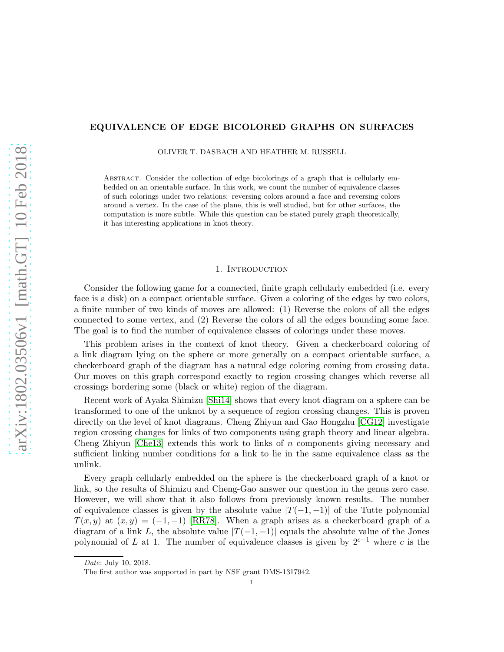# EQUIVALENCE OF EDGE BICOLORED GRAPHS ON SURFACES

OLIVER T. DASBACH AND HEATHER M. RUSSELL

Abstract. Consider the collection of edge bicolorings of a graph that is cellularly embedded on an orientable surface. In this work, we count the number of equivalence classes of such colorings under two relations: reversing colors around a face and reversing colors around a vertex. In the case of the plane, this is well studied, but for other surfaces, the computation is more subtle. While this question can be stated purely graph theoretically, it has interesting applications in knot theory.

#### 1. INTRODUCTION

Consider the following game for a connected, finite graph cellularly embedded (i.e. every face is a disk) on a compact orientable surface. Given a coloring of the edges by two colors, a finite number of two kinds of moves are allowed: (1) Reverse the colors of all the edges connected to some vertex, and (2) Reverse the colors of all the edges bounding some face. The goal is to find the number of equivalence classes of colorings under these moves.

This problem arises in the context of knot theory. Given a checkerboard coloring of a link diagram lying on the sphere or more generally on a compact orientable surface, a checkerboard graph of the diagram has a natural edge coloring coming from crossing data. Our moves on this graph correspond exactly to region crossing changes which reverse all crossings bordering some (black or white) region of the diagram.

Recent work of Ayaka Shimizu [\[Shi14\]](#page-14-0) shows that every knot diagram on a sphere can be transformed to one of the unknot by a sequence of region crossing changes. This is proven directly on the level of knot diagrams. Cheng Zhiyun and Gao Hongzhu [\[CG12\]](#page-13-0) investigate region crossing changes for links of two components using graph theory and linear algebra. Cheng Zhiyun [\[Che13\]](#page-13-1) extends this work to links of  $n$  components giving necessary and sufficient linking number conditions for a link to lie in the same equivalence class as the unlink.

Every graph cellularly embedded on the sphere is the checkerboard graph of a knot or link, so the results of Shimizu and Cheng-Gao answer our question in the genus zero case. However, we will show that it also follows from previously known results. The number of equivalence classes is given by the absolute value  $|T(-1, -1)|$  of the Tutte polynomial  $T(x, y)$  at  $(x, y) = (-1, -1)$  [\[RR78\]](#page-14-1). When a graph arises as a checkerboard graph of a diagram of a link L, the absolute value  $|T(-1, -1)|$  equals the absolute value of the Jones polynomial of L at 1. The number of equivalence classes is given by  $2^{c-1}$  where c is the

Date: July 10, 2018.

The first author was supported in part by NSF grant DMS-1317942.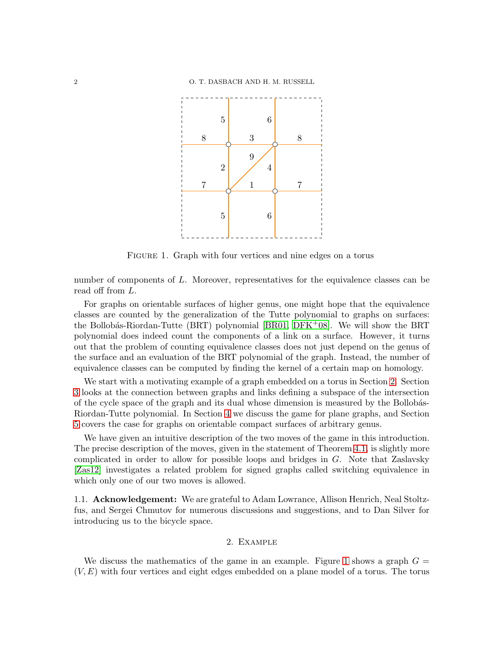

<span id="page-2-1"></span>FIGURE 1. Graph with four vertices and nine edges on a torus

number of components of L. Moreover, representatives for the equivalence classes can be read off from L.

For graphs on orientable surfaces of higher genus, one might hope that the equivalence classes are counted by the generalization of the Tutte polynomial to graphs on surfaces: the Bollobás-Riordan-Tutte (BRT) polynomial [\[BR01,](#page-13-2) [DFK](#page-13-3)+08]. We will show the BRT polynomial does indeed count the components of a link on a surface. However, it turns out that the problem of counting equivalence classes does not just depend on the genus of the surface and an evaluation of the BRT polynomial of the graph. Instead, the number of equivalence classes can be computed by finding the kernel of a certain map on homology.

We start with a motivating example of a graph embedded on a torus in Section [2.](#page-2-0) Section [3](#page-4-0) looks at the connection between graphs and links defining a subspace of the intersection of the cycle space of the graph and its dual whose dimension is measured by the Bollobás-Riordan-Tutte polynomial. In Section [4](#page-7-0) we discuss the game for plane graphs, and Section [5](#page-9-0) covers the case for graphs on orientable compact surfaces of arbitrary genus.

We have given an intuitive description of the two moves of the game in this introduction. The precise description of the moves, given in the statement of Theorem [4.1,](#page-7-1) is slightly more complicated in order to allow for possible loops and bridges in  $G$ . Note that Zaslavsky [\[Zas12\]](#page-14-2) investigates a related problem for signed graphs called switching equivalence in which only one of our two moves is allowed.

<span id="page-2-0"></span>1.1. Acknowledgement: We are grateful to Adam Lowrance, Allison Henrich, Neal Stoltzfus, and Sergei Chmutov for numerous discussions and suggestions, and to Dan Silver for introducing us to the bicycle space.

## 2. Example

We discuss the mathematics of the game in an example. Figure [1](#page-2-1) shows a graph  $G =$  $(V, E)$  with four vertices and eight edges embedded on a plane model of a torus. The torus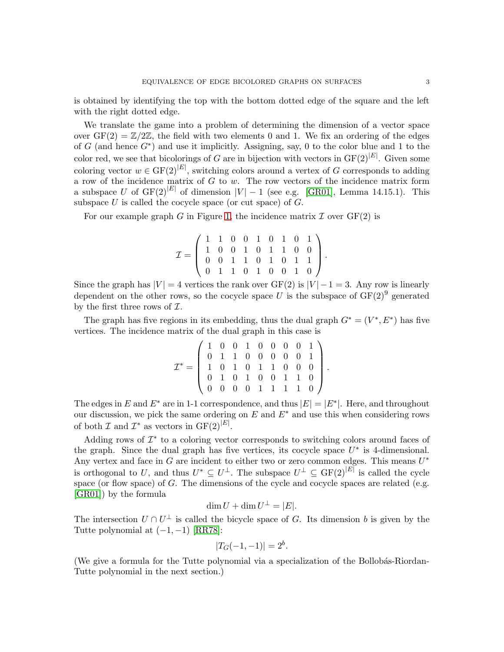is obtained by identifying the top with the bottom dotted edge of the square and the left with the right dotted edge.

We translate the game into a problem of determining the dimension of a vector space over  $GF(2) = \mathbb{Z}/2\mathbb{Z}$ , the field with two elements 0 and 1. We fix an ordering of the edges of G (and hence  $G^*$ ) and use it implicitly. Assigning, say, 0 to the color blue and 1 to the color red, we see that bicolorings of G are in bijection with vectors in  $GF(2)^{|E|}$ . Given some coloring vector  $w \in \mathrm{GF}(2)^{|E|}$ , switching colors around a vertex of G corresponds to adding a row of the incidence matrix of  $G$  to  $w$ . The row vectors of the incidence matrix form a subspace U of  $GF(2)^{|E|}$  of dimension  $|V| - 1$  (see e.g. [\[GR01\]](#page-13-4), Lemma 14.15.1). This subspace  $U$  is called the cocycle space (or cut space) of  $G$ .

For our example graph G in Figure [1,](#page-2-1) the incidence matrix  $\mathcal I$  over  $GF(2)$  is

$$
\mathcal{I} = \left( \begin{array}{cccccc} 1 & 1 & 0 & 0 & 1 & 0 & 1 & 0 & 1 \\ 1 & 0 & 0 & 1 & 0 & 1 & 1 & 0 & 0 \\ 0 & 0 & 1 & 1 & 0 & 1 & 0 & 1 & 1 \\ 0 & 1 & 1 & 0 & 1 & 0 & 0 & 1 & 0 \end{array} \right).
$$

Since the graph has  $|V| = 4$  vertices the rank over  $GF(2)$  is  $|V| - 1 = 3$ . Any row is linearly dependent on the other rows, so the cocycle space U is the subspace of  $GF(2)^9$  generated by the first three rows of  $\mathcal{I}$ .

The graph has five regions in its embedding, thus the dual graph  $G^* = (V^*, E^*)$  has five vertices. The incidence matrix of the dual graph in this case is

$$
\mathcal{I}^* = \left( \begin{array}{cccccc} 1 & 0 & 0 & 1 & 0 & 0 & 0 & 0 & 1 \\ 0 & 1 & 1 & 0 & 0 & 0 & 0 & 0 & 1 \\ 1 & 0 & 1 & 0 & 1 & 1 & 0 & 0 & 0 \\ 0 & 1 & 0 & 1 & 0 & 0 & 1 & 1 & 0 \\ 0 & 0 & 0 & 0 & 1 & 1 & 1 & 1 & 0 \end{array} \right).
$$

The edges in E and  $E^*$  are in 1-1 correspondence, and thus  $|E| = |E^*|$ . Here, and throughout our discussion, we pick the same ordering on E and  $E^*$  and use this when considering rows of both  $\mathcal I$  and  $\mathcal I^*$  as vectors in  $GF(2)^{|E|}$ .

Adding rows of  $\mathcal{I}^*$  to a coloring vector corresponds to switching colors around faces of the graph. Since the dual graph has five vertices, its cocycle space  $U^*$  is 4-dimensional. Any vertex and face in  $G$  are incident to either two or zero common edges. This means  $U^*$ is orthogonal to U, and thus  $U^* \subseteq U^{\perp}$ . The subspace  $U^{\perp} \subseteq GF(2)^{|E|}$  is called the cycle space (or flow space) of  $G$ . The dimensions of the cycle and cocycle spaces are related (e.g. [\[GR01\]](#page-13-4)) by the formula

$$
\dim U + \dim U^{\perp} = |E|.
$$

The intersection  $U \cap U^{\perp}$  is called the bicycle space of G. Its dimension b is given by the Tutte polynomial at  $(-1, -1)$  [\[RR78\]](#page-14-1):

$$
|T_G(-1,-1)| = 2^b.
$$

(We give a formula for the Tutte polynomial via a specialization of the Bollobás-Riordan-Tutte polynomial in the next section.)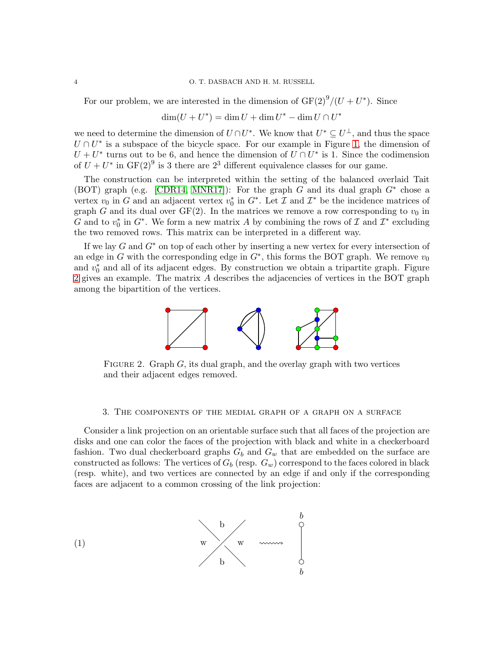For our problem, we are interested in the dimension of  $GF(2)^9/(U+U^*)$ . Since

 $\dim(U + U^*) = \dim U + \dim U^* - \dim U \cap U^*$ 

we need to determine the dimension of  $U \cap U^*$ . We know that  $U^* \subseteq U^{\perp}$ , and thus the space  $U \cap U^*$  is a subspace of the bicycle space. For our example in Figure [1,](#page-2-1) the dimension of  $U + U^*$  turns out to be 6, and hence the dimension of  $U \cap U^*$  is 1. Since the codimension of  $U + U^*$  in  $GF(2)^9$  is 3 there are  $2^3$  different equivalence classes for our game.

The construction can be interpreted within the setting of the balanced overlaid Tait (BOT) graph (e.g. [\[CDR14,](#page-13-5) [MNR17\]](#page-13-6)): For the graph G and its dual graph  $G^*$  chose a vertex  $v_0$  in G and an adjacent vertex  $v_0^*$  in  $G^*$ . Let  $\mathcal I$  and  $\mathcal I^*$  be the incidence matrices of graph G and its dual over  $GF(2)$ . In the matrices we remove a row corresponding to  $v_0$  in G and to  $v_0^*$  in  $G^*$ . We form a new matrix A by combining the rows of  $\mathcal I$  and  $\mathcal I^*$  excluding the two removed rows. This matrix can be interpreted in a different way.

If we lay  $G$  and  $G^*$  on top of each other by inserting a new vertex for every intersection of an edge in G with the corresponding edge in  $G^*$ , this forms the BOT graph. We remove  $v_0$ and  $v_0^*$  and all of its adjacent edges. By construction we obtain a tripartite graph. Figure [2](#page-4-1) gives an example. The matrix A describes the adjacencies of vertices in the BOT graph among the bipartition of the vertices.



<span id="page-4-1"></span>FIGURE 2. Graph  $G$ , its dual graph, and the overlay graph with two vertices and their adjacent edges removed.

#### <span id="page-4-0"></span>3. The components of the medial graph of a graph on a surface

Consider a link projection on an orientable surface such that all faces of the projection are disks and one can color the faces of the projection with black and white in a checkerboard fashion. Two dual checkerboard graphs  $G_b$  and  $G_w$  that are embedded on the surface are constructed as follows: The vertices of  $G_b$  (resp.  $G_w$ ) correspond to the faces colored in black (resp. white), and two vertices are connected by an edge if and only if the corresponding faces are adjacent to a common crossing of the link projection:

<span id="page-4-2"></span>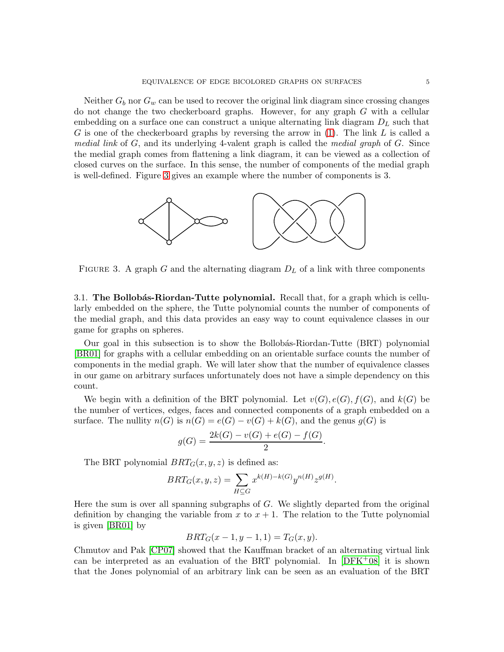Neither  $G_b$  nor  $G_w$  can be used to recover the original link diagram since crossing changes do not change the two checkerboard graphs. However, for any graph G with a cellular embedding on a surface one can construct a unique alternating link diagram  $D<sub>L</sub>$  such that G is one of the checkerboard graphs by reversing the arrow in  $(1)$ . The link L is called a *medial link* of G, and its underlying 4-valent graph is called the *medial graph* of G. Since the medial graph comes from flattening a link diagram, it can be viewed as a collection of closed curves on the surface. In this sense, the number of components of the medial graph is well-defined. Figure [3](#page-5-0) gives an example where the number of components is 3.



<span id="page-5-0"></span>FIGURE 3. A graph G and the alternating diagram  $D<sub>L</sub>$  of a link with three components

3.1. The Bollobás-Riordan-Tutte polynomial. Recall that, for a graph which is cellularly embedded on the sphere, the Tutte polynomial counts the number of components of the medial graph, and this data provides an easy way to count equivalence classes in our game for graphs on spheres.

Our goal in this subsection is to show the Bollob´as-Riordan-Tutte (BRT) polynomial [\[BR01\]](#page-13-2) for graphs with a cellular embedding on an orientable surface counts the number of components in the medial graph. We will later show that the number of equivalence classes in our game on arbitrary surfaces unfortunately does not have a simple dependency on this count.

We begin with a definition of the BRT polynomial. Let  $v(G), e(G), f(G)$ , and  $k(G)$  be the number of vertices, edges, faces and connected components of a graph embedded on a surface. The nullity  $n(G)$  is  $n(G) = e(G) - v(G) + k(G)$ , and the genus  $g(G)$  is

$$
g(G) = \frac{2k(G) - v(G) + e(G) - f(G)}{2}.
$$

The BRT polynomial  $BRT_G(x, y, z)$  is defined as:

$$
BRT_G(x, y, z) = \sum_{H \subseteq G} x^{k(H) - k(G)} y^{n(H)} z^{g(H)}.
$$

Here the sum is over all spanning subgraphs of  $G$ . We slightly departed from the original definition by changing the variable from  $x$  to  $x + 1$ . The relation to the Tutte polynomial is given [\[BR01\]](#page-13-2) by

$$
BRT_G(x - 1, y - 1, 1) = T_G(x, y).
$$

Chmutov and Pak [\[CP07\]](#page-13-7) showed that the Kauffman bracket of an alternating virtual link can be interpreted as an evaluation of the BRT polynomial. In  $[DFK^+08]$  $[DFK^+08]$  it is shown that the Jones polynomial of an arbitrary link can be seen as an evaluation of the BRT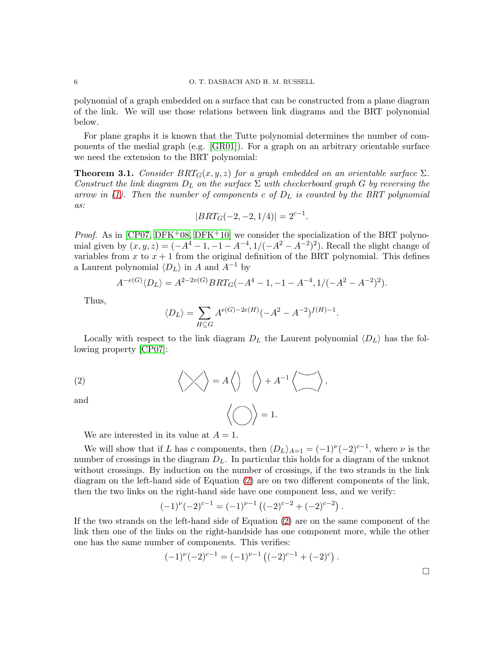polynomial of a graph embedded on a surface that can be constructed from a plane diagram of the link. We will use those relations between link diagrams and the BRT polynomial below.

For plane graphs it is known that the Tutte polynomial determines the number of components of the medial graph (e.g. [\[GR01\]](#page-13-4)). For a graph on an arbitrary orientable surface we need the extension to the BRT polynomial:

<span id="page-6-1"></span>**Theorem 3.1.** *Consider*  $BRT_G(x, y, z)$  *for a graph embedded on an orientable surface*  $\Sigma$ *. Construct the link diagram*  $D_L$  *on the surface*  $\Sigma$  *with checkerboard graph* G *by reversing the arrow in [\(1\)](#page-4-2). Then the number of components* c *of* D<sup>L</sup> *is counted by the BRT polynomial as:*

$$
|BRT_G(-2, -2, 1/4)| = 2^{c-1}.
$$

*Proof.* As in  $[CP07, DFK+08, DFK+10]$  $[CP07, DFK+08, DFK+10]$  $[CP07, DFK+08, DFK+10]$  we consider the specialization of the BRT polynomial given by  $(x, y, z) = (-A^4 - 1, -1 - A^{-4}, 1/(-A^2 - A^{-2})^2)$ . Recall the slight change of variables from x to  $x + 1$  from the original definition of the BRT polynomial. This defines a Laurent polynomial  $\langle D_L \rangle$  in A and  $A^{-1}$  by

$$
A^{-e(G)} \langle D_L \rangle = A^{2-2v(G)} BRT_G(-A^4 - 1, -1 - A^{-4}, 1/(-A^2 - A^{-2})^2).
$$

Thus,

$$
\langle D_L\rangle=\sum_{H\subseteq G}A^{e(G)-2e(H)}(-A^2-A^{-2})^{f(H)-1}.
$$

Locally with respect to the link diagram  $D_L$  the Laurent polynomial  $\langle D_L \rangle$  has the following property [\[CP07\]](#page-13-7):

(2) 
$$
\langle \rangle
$$
 =  $A \langle \rangle$   $\langle \rangle + A^{-1} \langle \rangle$ ,

and

<span id="page-6-0"></span>
$$
\bigg\langle\bigcirc\bigg\rangle=1.
$$

We are interested in its value at  $A = 1$ .

We will show that if L has c components, then  $\langle D_L \rangle_{A=1} = (-1)^{\nu} (-2)^{c-1}$ , where  $\nu$  is the number of crossings in the diagram  $D<sub>L</sub>$ . In particular this holds for a diagram of the unknot without crossings. By induction on the number of crossings, if the two strands in the link diagram on the left-hand side of Equation [\(2\)](#page-6-0) are on two different components of the link, then the two links on the right-hand side have one component less, and we verify:

$$
(-1)^{\nu}(-2)^{c-1} = (-1)^{\nu-1} ((-2)^{c-2} + (-2)^{c-2}).
$$

If the two strands on the left-hand side of Equation [\(2\)](#page-6-0) are on the same component of the link then one of the links on the right-handside has one component more, while the other one has the same number of components. This verifies:

$$
(-1)^{\nu}(-2)^{c-1} = (-1)^{\nu-1} ((-2)^{c-1} + (-2)^c).
$$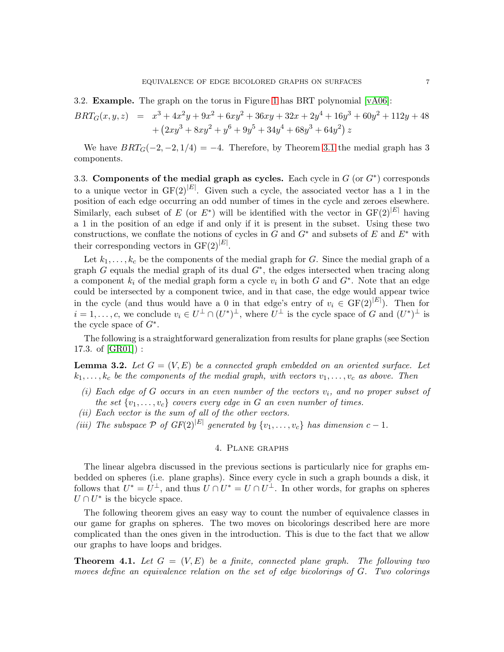3.2. **Example.** The graph on the torus in Figure [1](#page-2-1) has BRT polynomial  $[vA06]$ :

$$
BRT_G(x, y, z) = x^3 + 4x^2y + 9x^2 + 6xy^2 + 36xy + 32x + 2y^4 + 16y^3 + 60y^2 + 112y + 48
$$
  
+  $(2xy^3 + 8xy^2 + y^6 + 9y^5 + 34y^4 + 68y^3 + 64y^2) z$ 

We have  $BRT_G(-2, -2, 1/4) = -4$ . Therefore, by Theorem [3.1](#page-6-1) the medial graph has 3 components.

<span id="page-7-2"></span>3.3. Components of the medial graph as cycles. Each cycle in  $G$  (or  $G^*$ ) corresponds to a unique vector in  $GF(2)^{|E|}$ . Given such a cycle, the associated vector has a 1 in the position of each edge occurring an odd number of times in the cycle and zeroes elsewhere. Similarly, each subset of E (or  $E^*$ ) will be identified with the vector in  $GF(2)^{|E|}$  having a 1 in the position of an edge if and only if it is present in the subset. Using these two constructions, we conflate the notions of cycles in G and  $G^*$  and subsets of E and  $E^*$  with their corresponding vectors in  $GF(2)^{|E|}$ .

Let  $k_1, \ldots, k_c$  be the components of the medial graph for G. Since the medial graph of a graph  $G$  equals the medial graph of its dual  $G^*$ , the edges intersected when tracing along a component  $k_i$  of the medial graph form a cycle  $v_i$  in both G and  $G^*$ . Note that an edge could be intersected by a component twice, and in that case, the edge would appear twice in the cycle (and thus would have a 0 in that edge's entry of  $v_i \in \mathrm{GF}(2)^{|E|}$ ). Then for  $i = 1, \ldots, c$ , we conclude  $v_i \in U^{\perp} \cap (U^*)^{\perp}$ , where  $U^{\perp}$  is the cycle space of G and  $(U^*)^{\perp}$  is the cycle space of  $G^*$ .

The following is a straightforward generalization from results for plane graphs (see Section 17.3. of  $|GR01|$  :

<span id="page-7-3"></span>**Lemma 3.2.** Let  $G = (V, E)$  be a connected graph embedded on an oriented surface. Let  $k_1, \ldots, k_c$  be the components of the medial graph, with vectors  $v_1, \ldots, v_c$  as above. Then

- $(i)$  Each edge of G occurs in an even number of the vectors  $v_i$ , and no proper subset of *the set*  $\{v_1, \ldots, v_c\}$  *covers every edge in* G an even number of times.
- *(ii) Each vector is the sum of all of the other vectors.*
- <span id="page-7-0"></span>*(iii)* The subspace  $\mathcal{P}$  of  $GF(2)^{|E|}$  generated by  $\{v_1, \ldots, v_c\}$  has dimension  $c - 1$ .

# 4. Plane graphs

The linear algebra discussed in the previous sections is particularly nice for graphs embedded on spheres (i.e. plane graphs). Since every cycle in such a graph bounds a disk, it follows that  $U^* = U^{\perp}$ , and thus  $U \cap U^* = U \cap U^{\perp}$ . In other words, for graphs on spheres  $U \cap U^*$  is the bicycle space.

The following theorem gives an easy way to count the number of equivalence classes in our game for graphs on spheres. The two moves on bicolorings described here are more complicated than the ones given in the introduction. This is due to the fact that we allow our graphs to have loops and bridges.

<span id="page-7-1"></span>**Theorem 4.1.** Let  $G = (V, E)$  be a finite, connected plane graph. The following two *moves define an equivalence relation on the set of edge bicolorings of* G*. Two colorings*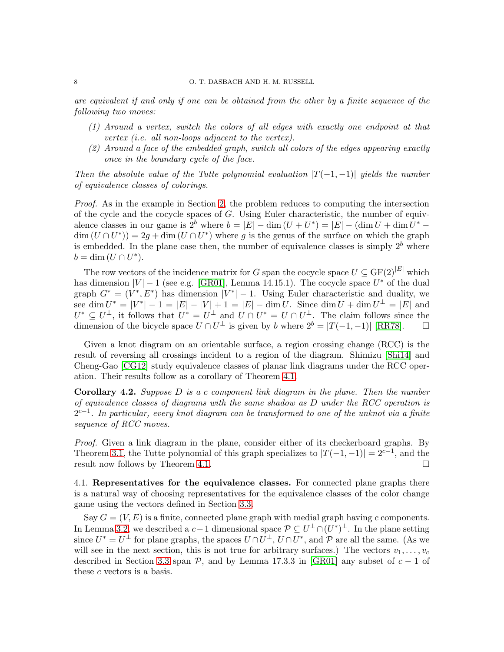#### 8 O. T. DASBACH AND H. M. RUSSELL

*are equivalent if and only if one can be obtained from the other by a finite sequence of the following two moves:*

- *(1) Around a vertex, switch the colors of all edges with exactly one endpoint at that vertex (i.e. all non-loops adjacent to the vertex).*
- *(2) Around a face of the embedded graph, switch all colors of the edges appearing exactly once in the boundary cycle of the face.*

*Then the absolute value of the Tutte polynomial evaluation*  $|T(-1,-1)|$  *yields the number of equivalence classes of colorings.*

*Proof.* As in the example in Section [2,](#page-2-0) the problem reduces to computing the intersection of the cycle and the cocycle spaces of G. Using Euler characteristic, the number of equivalence classes in our game is  $2^b$  where  $b = |E| - \dim(U + U^*) = |E| - (\dim U + \dim U^*) \dim(U \cap U^*) = 2g + \dim(U \cap U^*)$  where g is the genus of the surface on which the graph is embedded. In the plane case then, the number of equivalence classes is simply  $2<sup>b</sup>$  where  $b = \dim(U \cap U^*)$ .

The row vectors of the incidence matrix for G span the cocycle space  $U \subseteq \mathrm{GF}(2)^{|E|}$  which has dimension  $|V| - 1$  (see e.g. [\[GR01\]](#page-13-4), Lemma 14.15.1). The cocycle space  $U^*$  of the dual graph  $G^* = (V^*, E^*)$  has dimension  $|V^*| - 1$ . Using Euler characteristic and duality, we see dim  $U^* = |V^*| - 1 = |E| - |V| + 1 = |E| - \dim U$ . Since  $\dim U + \dim U^{\perp} = |E|$  and  $U^* \subseteq U^{\perp}$ , it follows that  $U^* = U^{\perp}$  and  $U \cap U^* = U \cap U^{\perp}$ . The claim follows since the dimension of the bicycle space  $U \cap U^{\perp}$  is given by b where  $2^{b} = |T(-1, -1)|$  [\[RR78\]](#page-14-1).  $\Box$ 

Given a knot diagram on an orientable surface, a region crossing change (RCC) is the result of reversing all crossings incident to a region of the diagram. Shimizu [\[Shi14\]](#page-14-0) and Cheng-Gao [\[CG12\]](#page-13-0) study equivalence classes of planar link diagrams under the RCC operation. Their results follow as a corollary of Theorem [4.1.](#page-7-1)

Corollary 4.2. *Suppose* D *is a* c *component link diagram in the plane. Then the number of equivalence classes of diagrams with the same shadow as* D *under the RCC operation is* 2 c−1 *. In particular, every knot diagram can be transformed to one of the unknot via a finite sequence of RCC moves.*

*Proof.* Given a link diagram in the plane, consider either of its checkerboard graphs. By Theorem [3.1,](#page-6-1) the Tutte polynomial of this graph specializes to  $|T(-1,-1)| = 2^{c-1}$ , and the result now follows by Theorem [4.1.](#page-7-1)

4.1. Representatives for the equivalence classes. For connected plane graphs there is a natural way of choosing representatives for the equivalence classes of the color change game using the vectors defined in Section [3.3.](#page-7-2)

Say  $G = (V, E)$  is a finite, connected plane graph with medial graph having c components. In Lemma [3.2,](#page-7-3) we described a  $c-1$  dimensional space  $\mathcal{P} \subseteq U^{\perp} \cap (U^*)^{\perp}$ . In the plane setting since  $U^* = U^{\perp}$  for plane graphs, the spaces  $U \cap U^{\perp}$ ,  $U \cap U^*$ , and  $\mathcal P$  are all the same. (As we will see in the next section, this is not true for arbitrary surfaces.) The vectors  $v_1, \ldots, v_c$ described in Section [3.3](#page-7-2) span  $P$ , and by Lemma 17.3.3 in [\[GR01\]](#page-13-4) any subset of  $c - 1$  of these  $c$  vectors is a basis.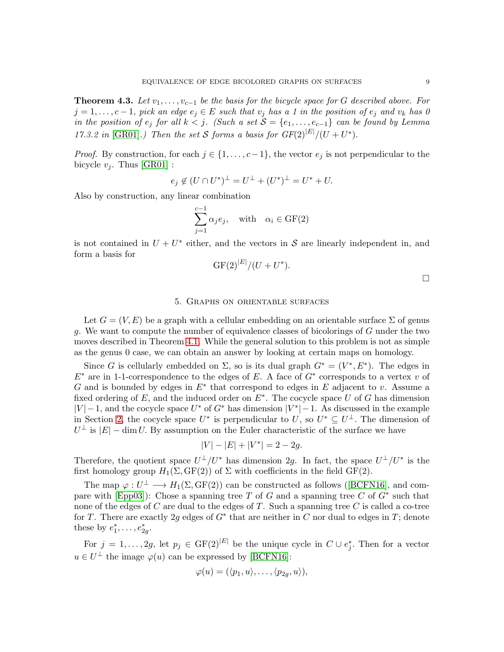**Theorem 4.3.** Let  $v_1, \ldots, v_{c-1}$  be the basis for the bicycle space for G described above. For  $j = 1, \ldots, c - 1$ , pick an edge  $e_j \in E$  such that  $v_j$  has a 1 in the position of  $e_j$  and  $v_k$  has 0 *in the position of*  $e_j$  *for all*  $k < j$ *. (Such a set*  $S = \{e_1, \ldots, e_{c-1}\}$  *can be found by Lemma 17.3.2 in* [\[GR01\]](#page-13-4).) Then the set S forms a basis for  $GF(2)^{|E|}/(U+U^*)$ .

*Proof.* By construction, for each  $j \in \{1, \ldots, c-1\}$ , the vector  $e_j$  is not perpendicular to the bicycle  $v_i$ . Thus [\[GR01\]](#page-13-4) :

$$
e_j \notin (U \cap U^*)^{\perp} = U^{\perp} + (U^*)^{\perp} = U^* + U.
$$

Also by construction, any linear combination

$$
\sum_{j=1}^{c-1} \alpha_j e_j, \quad \text{with} \quad \alpha_i \in \text{GF}(2)
$$

is not contained in  $U + U^*$  either, and the vectors in S are linearly independent in, and form a basis for

$$
GF(2)^{|E|}/(U+U^*).
$$

 $\Box$ 

## 5. Graphs on orientable surfaces

<span id="page-9-0"></span>Let  $G = (V, E)$  be a graph with a cellular embedding on an orientable surface  $\Sigma$  of genus g. We want to compute the number of equivalence classes of bicolorings of G under the two moves described in Theorem [4.1.](#page-7-1) While the general solution to this problem is not as simple as the genus 0 case, we can obtain an answer by looking at certain maps on homology.

Since G is cellularly embedded on  $\Sigma$ , so is its dual graph  $G^* = (V^*, E^*)$ . The edges in  $E^*$  are in 1-1-correspondence to the edges of E. A face of  $G^*$  corresponds to a vertex v of G and is bounded by edges in  $E^*$  that correspond to edges in E adjacent to v. Assume a fixed ordering of  $E$ , and the induced order on  $E^*$ . The cocycle space U of G has dimension  $|V| - 1$ , and the cocycle space  $U^*$  of  $G^*$  has dimension  $|V^*| - 1$ . As discussed in the example in Section [2,](#page-2-0) the cocycle space  $U^*$  is perpendicular to  $U$ , so  $U^* \subseteq U^{\perp}$ . The dimension of  $U^{\perp}$  is  $|E| - \dim U$ . By assumption on the Euler characteristic of the surface we have

$$
|V| - |E| + |V^*| = 2 - 2g.
$$

Therefore, the quotient space  $U^{\perp}/U^*$  has dimension 2g. In fact, the space  $U^{\perp}/U^*$  is the first homology group  $H_1(\Sigma, \text{GF}(2))$  of  $\Sigma$  with coefficients in the field GF(2).

The map  $\varphi: U^{\perp} \longrightarrow H_1(\Sigma, GF(2))$  can be constructed as follows ([\[BCFN16\]](#page-13-9), and com-pare with [\[Epp03\]](#page-13-10)): Chose a spanning tree T of G and a spanning tree C of  $G^*$  such that none of the edges of  $C$  are dual to the edges of  $T$ . Such a spanning tree  $C$  is called a co-tree for T. There are exactly 2g edges of  $G^*$  that are neither in C nor dual to edges in T; denote these by  $e_1^*, \ldots, e_{2g}^*$ .

For  $j = 1, \ldots, 2g$ , let  $p_j \in \mathrm{GF}(2)^{|E|}$  be the unique cycle in  $C \cup e_j^*$ . Then for a vector  $u \in U^{\perp}$  the image  $\varphi(u)$  can be expressed by [\[BCFN16\]](#page-13-9):

$$
\varphi(u)=(\langle p_1,u\rangle,\ldots,\langle p_{2g},u\rangle),
$$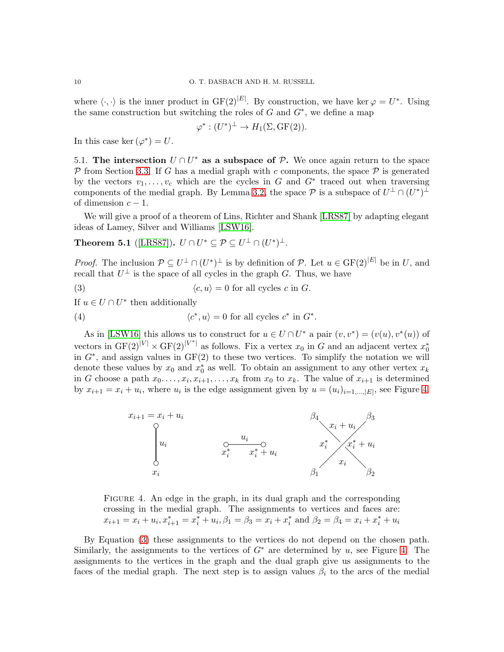where  $\langle \cdot, \cdot \rangle$  is the inner product in  $GF(2)^{|E|}$ . By construction, we have ker  $\varphi = U^*$ . Using the same construction but switching the roles of  $G$  and  $G^*$ , we define a map

$$
\varphi^*: (U^*)^{\perp} \to H_1(\Sigma, GF(2)).
$$

In this case ker  $(\varphi^*) = U$ .

5.1. The intersection  $U \cap U^*$  as a subspace of  $\mathcal{P}$ . We once again return to the space  $\mathcal P$  from Section [3.3.](#page-7-2) If G has a medial graph with c components, the space  $\mathcal P$  is generated by the vectors  $v_1, \ldots, v_c$  which are the cycles in G and  $G^*$  traced out when traversing components of the medial graph. By Lemma [3.2,](#page-7-3) the space  $P$  is a subspace of  $U^{\perp} \cap (U^*)^{\perp}$ of dimension  $c - 1$ .

We will give a proof of a theorem of Lins, Richter and Shank [\[LRS87\]](#page-13-11) by adapting elegant ideas of Lamey, Silver and Williams [\[LSW16\]](#page-13-12).

**Theorem 5.1** ([\[LRS87\]](#page-13-11)).  $U \cap U^* \subseteq \mathcal{P} \subseteq U^{\perp} \cap (U^*)^{\perp}$ .

*Proof.* The inclusion  $\mathcal{P} \subseteq U^{\perp} \cap (U^*)^{\perp}$  is by definition of  $\mathcal{P}$ . Let  $u \in \mathrm{GF}(2)^{|E|}$  be in U, and recall that  $U^{\perp}$  is the space of all cycles in the graph G. Thus, we have

<span id="page-10-1"></span>(3)  $\langle c, u \rangle = 0$  for all cycles c in G.

If  $u \in U \cap U^*$  then additionally

(4)  $\langle c \rangle$ \*, u) = 0 for all cycles  $c^*$  in  $G^*$ .

As in [\[LSW16\]](#page-13-12) this allows us to construct for  $u \in U \cap U^*$  a pair  $(v, v^*) = (v(u), v^*(u))$  of vectors in  $GF(2)^{|V|} \times GF(2)^{|V^*|}$  as follows. Fix a vertex  $x_0$  in G and an adjacent vertex  $x_0^*$ in  $G^*$ , and assign values in  $GF(2)$  to these two vertices. To simplify the notation we will denote these values by  $x_0$  and  $x_0^*$  as well. To obtain an assignment to any other vertex  $x_k$ in G choose a path  $x_0, \ldots, x_i, x_{i+1}, \ldots, x_k$  from  $x_0$  to  $x_k$ . The value of  $x_{i+1}$  is determined by  $x_{i+1} = x_i + u_i$ , where  $u_i$  is the edge assignment given by  $u = (u_i)_{i=1,\dots,|E|}$ , see Figure [4.](#page-10-0)



<span id="page-10-0"></span>FIGURE 4. An edge in the graph, in its dual graph and the corresponding crossing in the medial graph. The assignments to vertices and faces are:  $x_{i+1} = x_i + u_i, x_{i+1}^* = x_i^* + u_i, \beta_1 = \beta_3 = x_i + x_i^*$  and  $\beta_2 = \beta_4 = x_i + x_i^* + u_i$ 

By Equation [\(3\)](#page-10-1) these assignments to the vertices do not depend on the chosen path. Similarly, the assignments to the vertices of  $G^*$  are determined by u, see Figure [4.](#page-10-0) The assignments to the vertices in the graph and the dual graph give us assignments to the faces of the medial graph. The next step is to assign values  $\beta_i$  to the arcs of the medial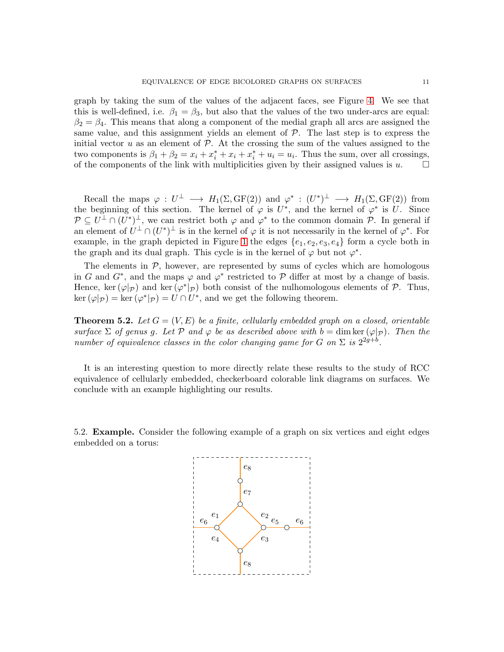graph by taking the sum of the values of the adjacent faces, see Figure [4.](#page-10-0) We see that this is well-defined, i.e.  $\beta_1 = \beta_3$ , but also that the values of the two under-arcs are equal:  $\beta_2 = \beta_4$ . This means that along a component of the medial graph all arcs are assigned the same value, and this assignment yields an element of  $P$ . The last step is to express the initial vector u as an element of  $P$ . At the crossing the sum of the values assigned to the two components is  $\beta_1 + \beta_2 = x_i + x_i^* + x_i + x_i^* + u_i = u_i$ . Thus the sum, over all crossings, of the components of the link with multiplicities given by their assigned values is  $u$ .

Recall the maps  $\varphi: U^{\perp} \longrightarrow H_1(\Sigma, GF(2))$  and  $\varphi^*: (U^*)^{\perp} \longrightarrow H_1(\Sigma, GF(2))$  from the beginning of this section. The kernel of  $\varphi$  is U<sup>\*</sup>, and the kernel of  $\varphi^*$  is U. Since  $\mathcal{P} \subseteq U^{\perp} \cap (U^*)^{\perp}$ , we can restrict both  $\varphi$  and  $\varphi^*$  to the common domain  $\mathcal{P}$ . In general if an element of  $U^{\perp} \cap (U^*)^{\perp}$  is in the kernel of  $\varphi$  it is not necessarily in the kernel of  $\varphi^*$ . For example, in the graph depicted in Figure [1](#page-2-1) the edges  $\{e_1, e_2, e_3, e_4\}$  form a cycle both in the graph and its dual graph. This cycle is in the kernel of  $\varphi$  but not  $\varphi^*$ .

The elements in  $P$ , however, are represented by sums of cycles which are homologous in G and  $G^*$ , and the maps  $\varphi$  and  $\varphi^*$  restricted to P differ at most by a change of basis. Hence, ker  $(\varphi|\mathcal{P})$  and ker  $(\varphi^*|\mathcal{P})$  both consist of the nulhomologous elements of  $\mathcal{P}$ . Thus,  $\ker(\varphi|\mathcal{P}) = \ker(\varphi^*|\mathcal{P}) = U \cap U^*$ , and we get the following theorem.

**Theorem 5.2.** Let  $G = (V, E)$  be a finite, cellularly embedded graph on a closed, orientable  $surface \Sigma$  *of genus g. Let*  $\mathcal{P}$  *and*  $\varphi$  *be as described above with*  $b = \dim \ker (\varphi|_{\mathcal{P}})$ *. Then the number of equivalence classes in the color changing game for*  $G$  *on*  $\Sigma$  *is*  $2^{2g+b}$ *.* 

It is an interesting question to more directly relate these results to the study of RCC equivalence of cellularly embedded, checkerboard colorable link diagrams on surfaces. We conclude with an example highlighting our results.

5.2. Example. Consider the following example of a graph on six vertices and eight edges embedded on a torus:

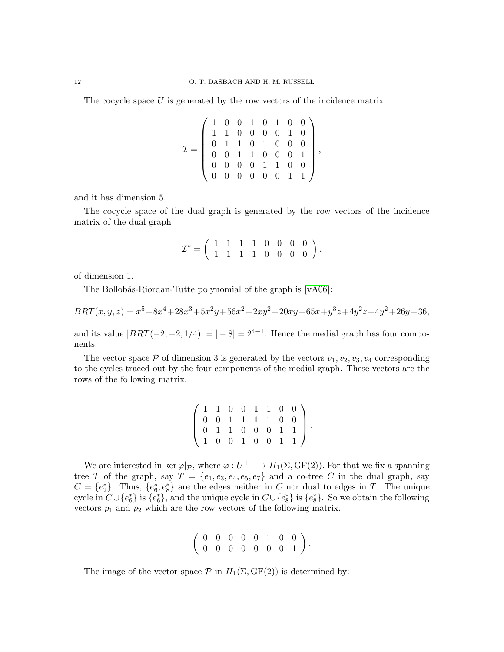The cocycle space  $U$  is generated by the row vectors of the incidence matrix

$$
\mathcal{I} = \left( \begin{array}{cccccc} 1 & 0 & 0 & 1 & 0 & 1 & 0 & 0 \\ 1 & 1 & 0 & 0 & 0 & 0 & 1 & 0 \\ 0 & 1 & 1 & 0 & 1 & 0 & 0 & 0 \\ 0 & 0 & 1 & 1 & 0 & 0 & 0 & 1 \\ 0 & 0 & 0 & 0 & 1 & 1 & 0 & 0 \\ 0 & 0 & 0 & 0 & 0 & 0 & 1 & 1 \end{array} \right),
$$

and it has dimension 5.

The cocycle space of the dual graph is generated by the row vectors of the incidence matrix of the dual graph

$$
\mathcal{I}^* = \left( \begin{array}{rrrrrr} 1 & 1 & 1 & 1 & 0 & 0 & 0 & 0 \\ 1 & 1 & 1 & 1 & 0 & 0 & 0 & 0 \end{array} \right),
$$

of dimension 1.

The Bollobás-Riordan-Tutte polynomial of the graph is [\[vA06\]](#page-14-3):

$$
BRT(x, y, z) = x^5 + 8x^4 + 28x^3 + 5x^2y + 56x^2 + 2xy^2 + 20xy + 65x + y^3z + 4y^2z + 4y^2 + 26y + 36,
$$

and its value  $|BRT(-2, -2, 1/4)| = |-8| = 2^{4-1}$ . Hence the medial graph has four components.

The vector space  $P$  of dimension 3 is generated by the vectors  $v_1, v_2, v_3, v_4$  corresponding to the cycles traced out by the four components of the medial graph. These vectors are the rows of the following matrix.

| $\left(\begin{array}{cccccc} 1 & 1 & 0 & 0 & 1 & 1 & 0 & 0 \\ 0 & 0 & 1 & 1 & 1 & 1 & 0 & 0 \\ 0 & 1 & 1 & 0 & 0 & 0 & 1 & 1 \\ 1 & 0 & 0 & 1 & 0 & 0 & 1 & 1 \end{array}\right)$ |  |  |  |  |
|-----------------------------------------------------------------------------------------------------------------------------------------------------------------------------------|--|--|--|--|

We are interested in ker  $\varphi|_{\mathcal{P}}$ , where  $\varphi: U^{\perp} \longrightarrow H_1(\Sigma, GF(2))$ . For that we fix a spanning tree T of the graph, say  $T = \{e_1, e_3, e_4, e_5, e_7\}$  and a co-tree C in the dual graph, say  $C = \{e_2^*\}\.$  Thus,  $\{e_6^*, e_8^*\}$  are the edges neither in C nor dual to edges in T. The unique cycle in  $C \cup \{e_6^*\}$  is  $\{e_6^*\}$ , and the unique cycle in  $C \cup \{e_8^*\}$  is  $\{e_8^*\}$ . So we obtain the following vectors  $p_1$  and  $p_2$  which are the row vectors of the following matrix.

$$
\left(\begin{array}{ccccccccc} 0 & 0 & 0 & 0 & 0 & 1 & 0 & 0 \\ 0 & 0 & 0 & 0 & 0 & 0 & 0 & 1 \end{array}\right).
$$

The image of the vector space  $P$  in  $H_1(\Sigma, GF(2))$  is determined by: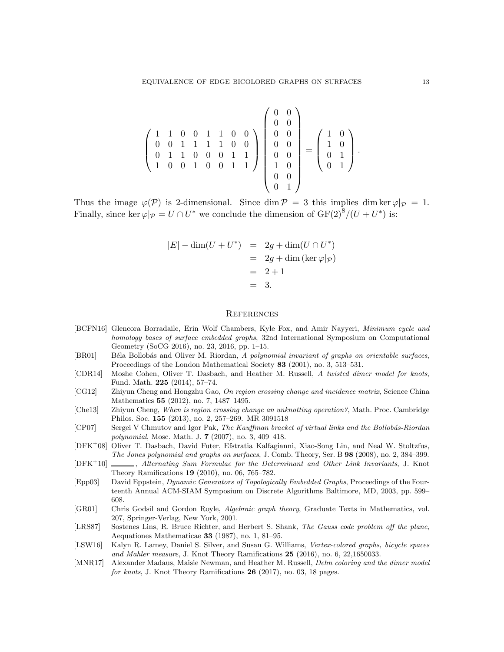$$
\left(\begin{array}{cccc} 1 & 1 & 0 & 0 & 1 & 1 & 0 & 0 \\ 0 & 0 & 1 & 1 & 1 & 1 & 0 & 0 \\ 0 & 1 & 1 & 0 & 0 & 0 & 1 & 1 \\ 1 & 0 & 0 & 1 & 0 & 0 & 1 & 1 \end{array}\right) \left(\begin{array}{c} 0 & 0 \\ 0 & 0 \\ 0 & 0 \\ 0 & 0 \\ 1 & 0 \\ 0 & 0 \\ 0 & 1 \end{array}\right) = \left(\begin{array}{c} 1 & 0 \\ 1 & 0 \\ 0 & 1 \\ 0 & 1 \end{array}\right).
$$

Thus the image  $\varphi(\mathcal{P})$  is 2-dimensional. Since dim  $\mathcal{P} = 3$  this implies dim ker  $\varphi|\mathcal{P} = 1$ . Finally, since ker  $\varphi|_{\mathcal{P}} = U \cap U^*$  we conclude the dimension of  $GF(2)^8/(U+U^*)$  is:

$$
|E| - \dim(U + U^*) = 2g + \dim(U \cap U^*)
$$
  
= 2g + \dim (\ker \varphi|\_{\mathcal{P}})  
= 2 + 1  
= 3.

#### **REFERENCES**

- <span id="page-13-9"></span>[BCFN16] Glencora Borradaile, Erin Wolf Chambers, Kyle Fox, and Amir Nayyeri, Minimum cycle and homology bases of surface embedded graphs, 32nd International Symposium on Computational Geometry (SoCG 2016), no. 23, 2016, pp. 1–15.
- <span id="page-13-2"></span>[BR01] Béla Bollobás and Oliver M. Riordan, A polynomial invariant of graphs on orientable surfaces, Proceedings of the London Mathematical Society 83 (2001), no. 3, 513–531.
- <span id="page-13-5"></span>[CDR14] Moshe Cohen, Oliver T. Dasbach, and Heather M. Russell, A twisted dimer model for knots, Fund. Math. 225 (2014), 57–74.
- <span id="page-13-0"></span>[CG12] Zhiyun Cheng and Hongzhu Gao, On region crossing change and incidence matrix, Science China Mathematics 55 (2012), no. 7, 1487–1495.
- <span id="page-13-1"></span>[Che13] Zhiyun Cheng, When is region crossing change an unknotting operation?, Math. Proc. Cambridge Philos. Soc. 155 (2013), no. 2, 257–269. MR 3091518
- <span id="page-13-7"></span>[CP07] Sergei V Chmutov and Igor Pak, The Kauffman bracket of virtual links and the Bollobás-Riordan polynomial, Mosc. Math. J. 7 (2007), no. 3, 409–418.
- <span id="page-13-3"></span>[DFK<sup>+</sup>08] Oliver T. Dasbach, David Futer, Efstratia Kalfagianni, Xiao-Song Lin, and Neal W. Stoltzfus, The Jones polynomial and graphs on surfaces, J. Comb. Theory, Ser. B 98 (2008), no. 2, 384–399.
- <span id="page-13-8"></span>[DFK<sup>+</sup>10] , Alternating Sum Formulae for the Determinant and Other Link Invariants, J. Knot Theory Ramifications 19 (2010), no. 06, 765–782.
- <span id="page-13-10"></span>[Epp03] David Eppstein, Dynamic Generators of Topologically Embedded Graphs, Proceedings of the Fourteenth Annual ACM-SIAM Symposium on Discrete Algorithms Baltimore, MD, 2003, pp. 599– 608.
- <span id="page-13-4"></span>[GR01] Chris Godsil and Gordon Royle, Algebraic graph theory, Graduate Texts in Mathematics, vol. 207, Springer-Verlag, New York, 2001.
- <span id="page-13-11"></span>[LRS87] Sostenes Lins, R. Bruce Richter, and Herbert S. Shank, The Gauss code problem off the plane, Aequationes Mathematicae 33 (1987), no. 1, 81–95.
- <span id="page-13-12"></span>[LSW16] Kalyn R. Lamey, Daniel S. Silver, and Susan G. Williams, Vertex-colored graphs, bicycle spaces and Mahler measure, J. Knot Theory Ramifications 25 (2016), no. 6, 22,1650033.
- <span id="page-13-6"></span>[MNR17] Alexander Madaus, Maisie Newman, and Heather M. Russell, *Dehn coloring and the dimer model* for knots, J. Knot Theory Ramifications 26 (2017), no. 03, 18 pages.